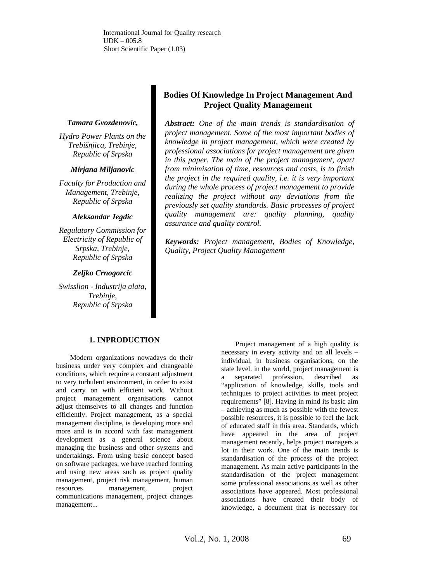International Journal for Quality research UDK – 005.8 Short Scientific Paper (1.03)

#### *Tamara Gvozdenovic,*

*Hydro Power Plants on the Trebišnjica, Trebinje, Republic of Srpska* 

#### *Mirjana Miljanovic*

*Faculty for Production and Management, Trebinje, Republic of Srpska* 

#### *Aleksandar Jegdic*

*Regulatory Commission for Electricity of Republic of Srpska, Trebinje, Republic of Srpska* 

#### *Zeljko Crnogorcic*

*Swisslion - Industrija alata, Trebinje, Republic of Srpska* 

# **Bodies Of Knowledge In Project Management And Project Quality Management**

*Abstract: One of the main trends is standardisation of project management. Some of the most important bodies of knowledge in project management, which were created by professional associations for project management are given in this paper. The main of the project management, apart from minimisation of time, resources and costs, is to finish the project in the required quality, i.e. it is very important during the whole process of project management to provide realizing the project without any deviations from the previously set quality standards. Basic processes of project quality management are: quality planning, quality assurance and quality control.* 

*Keywords: Project management, Bodies of Knowledge, Quality, Project Quality Management* 

#### **1. INPRODUCTION**

Modern organizations nowadays do their business under very complex and changeable conditions, which require a constant adjustment to very turbulent environment, in order to exist and carry on with efficient work. Without project management organisations cannot adjust themselves to all changes and function efficiently. Project management, as a special management discipline, is developing more and more and is in accord with fast management development as a general science about managing the business and other systems and undertakings. From using basic concept based on software packages, we have reached forming and using new areas such as project quality management, project risk management, human resources management, project communications management, project changes management...

Project management of a high quality is necessary in every activity and on all levels – individual, in business organisations, on the state level. in the world, project management is a separated profession, described as "application of knowledge, skills, tools and techniques to project activities to meet project requirements" [8]. Having in mind its basic aim – achieving as much as possible with the fewest possible resources, it is possible to feel the lack of educated staff in this area. Standards, which have appeared in the area of project management recently, helps project managers a lot in their work. One of the main trends is standardisation of the process of the project management. As main active participants in the standardisation of the project management some professional associations as well as other associations have appeared. Most professional associations have created their body of knowledge, a document that is necessary for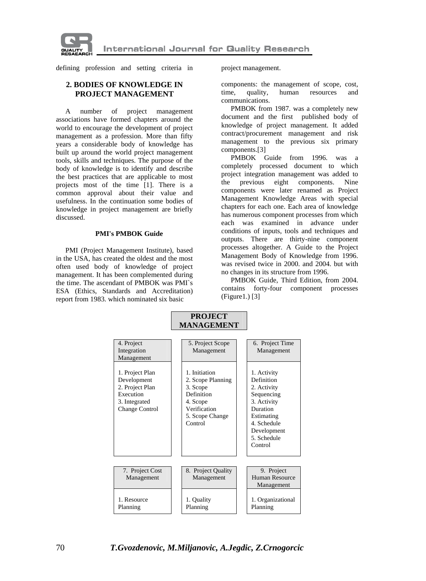

**International Journal for Quality Research** 

defining profession and setting criteria in project management.

## **2. BODIES OF KNOWLEDGE IN PROJECT MANAGEMENT**

A number of project management associations have formed chapters around the world to encourage the development of project management as a profession. More than fifty years a considerable body of knowledge has built up around the world project management tools, skills and techniques. The purpose of the body of knowledge is to identify and describe the best practices that are applicable to most projects most of the time [1]. There is a common approval about their value and usefulness. In the continuation some bodies of knowledge in project management are briefly discussed.

#### **PMI's PMBOK Guide**

PMI (Project Management Institute), based in the USA, has created the oldest and the most often used body of knowledge of project management. It has been complemented during the time. The ascendant of PMBOK was PMI`s ESA (Ethics, Standards and Accreditation) report from 1983. which nominated six basic

components: the management of scope, cost, time, quality, human resources and communications.

PMBOK from 1987. was a completely new document and the first published body of knowledge of project management. It added contract/procurement management and risk management to the previous six primary components.[3]

PMBOK Guide from 1996. was a completely processed document to which project integration management was added to the previous eight components. Nine components were later renamed as Project Management Knowledge Areas with special chapters for each one. Each area of knowledge has numerous component processes from which each was examined in advance under conditions of inputs, tools and techniques and outputs. There are thirty-nine component processes altogether. A Guide to the Project Management Body of Knowledge from 1996. was revised twice in 2000. and 2004. but with no changes in its structure from 1996.

PMBOK Guide, Third Edition, from 2004. contains forty-four component processes (Figure1.) [3]

|                                                                                                   | MANAGEMENT                                                                                                             |                                                                                                                                                         |
|---------------------------------------------------------------------------------------------------|------------------------------------------------------------------------------------------------------------------------|---------------------------------------------------------------------------------------------------------------------------------------------------------|
| 4. Project<br>Integration<br>Management                                                           | 5. Project Scope<br>Management                                                                                         | 6. Project Time<br>Management                                                                                                                           |
| 1. Project Plan<br>Development<br>2. Project Plan<br>Execution<br>3. Integrated<br>Change Control | 1. Initiation<br>2. Scope Planning<br>3. Scope<br>Definition<br>4. Scope<br>Verification<br>5. Scope Change<br>Control | 1. Activity<br>Definition<br>2. Activity<br>Sequencing<br>3. Activity<br>Duration<br>Estimating<br>4. Schedule<br>Development<br>5. Schedule<br>Control |
| 7. Project Cost<br>Management                                                                     | 8. Project Quality<br>Management                                                                                       | 9. Project<br>Human Resource                                                                                                                            |
| 1. Resource<br>Planning                                                                           | 1. Quality<br>Planning                                                                                                 | Management<br>1. Organizational<br>Planning                                                                                                             |

**PROJECT**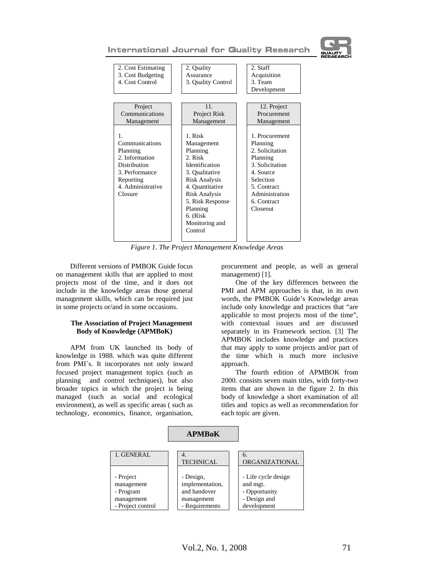

| 2. Cost Estimating<br>3. Cost Budgeting<br>4. Cost Control                                                                                    | 2. Quality<br>Assurance<br>3. Quality Control                                                                                                                                                                                | 2. Staff<br>Acquisition<br>3. Team<br>Development                                                                                                                  |
|-----------------------------------------------------------------------------------------------------------------------------------------------|------------------------------------------------------------------------------------------------------------------------------------------------------------------------------------------------------------------------------|--------------------------------------------------------------------------------------------------------------------------------------------------------------------|
| Project<br>Communications<br>Management                                                                                                       | 11 <sub>1</sub><br>Project Risk<br>Management                                                                                                                                                                                | 12. Project<br>Procurement<br>Management                                                                                                                           |
| $\mathbf{1}$ .<br>Communications<br>Planning<br>2. Information<br>Distribution<br>3. Performance<br>Reporting<br>4. Administrative<br>Closure | 1. Risk<br>Management<br>Planning<br>2. Risk<br>Identification<br>3. Qualitative<br><b>Risk Analysis</b><br>4. Quantitative<br><b>Risk Analysis</b><br>5. Risk Response<br>Planning<br>6. (Risk<br>Monitoring and<br>Control | 1. Procurement<br>Planning<br>2. Solicitation<br>Planning<br>3. Solicitation<br>4. Source<br>Selection<br>5. Contract<br>Administration<br>6. Contract<br>Closeout |

*Figure 1. The Project Management Knowledge Areas* 

Different versions of PMBOK Guide focus on management skills that are applied to most projects most of the time, and it does not include in the knowledge areas those general management skills, which can be required just in some projects or/and in some occasions.

#### **The Association of Project Management Body of Knowledge (APMBoK)**

APM from UK launched its body of knowledge in 1988. which was quite different from PMI`s. It incorporates not only inward focused project management topics (such as planning and control techniques), but also broader topics in which the project is being managed (such as social and ecological environment), as well as specific areas ( such as technology, economics, finance, organisation, procurement and people, as well as general management) [1].

One of the key differences between the PMI and APM approaches is that, in its own words, the PMBOK Guide's Knowledge areas include only knowledge and practices that "are applicable to most projects most of the time", with contextual issues and are discussed separately in its Framework section. [3] The APMBOK includes knowledge and practices that may apply to some projects and/or part of the time which is much more inclusive approach.

The fourth edition of APMBOK from 2000. consists seven main titles, with forty-two items that are shown in the figure 2. In this body of knowledge a short examination of all titles and topics as well as recommendation for each topic are given.

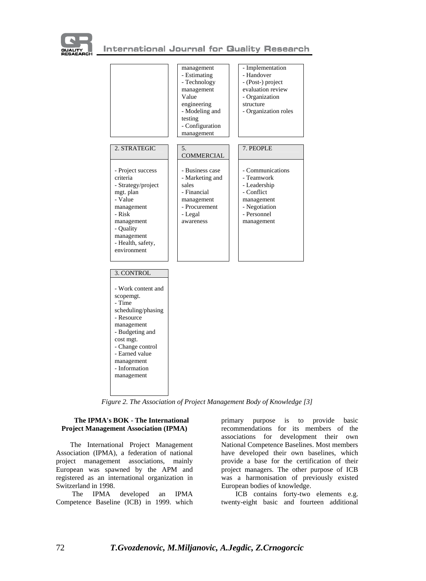



*Figure 2. The Association of Project Management Body of Knowledge [3]* 

### **The IPMA's BOK - The International Project Management Association (IPMA)**

The International Project Management Association (IPMA), a federation of national project management associations, mainly European was spawned by the APM and registered as an international organization in Switzerland in 1998.

 The IPMA developed an IPMA Competence Baseline (ICB) in 1999. which

primary purpose is to provide basic recommendations for its members of the associations for development their own National Competence Baselines. Most members have developed their own baselines, which provide a base for the certification of their project managers. The other purpose of ICB was a harmonisation of previously existed European bodies of knowledge.

ICB contains forty-two elements e.g. twenty-eight basic and fourteen additional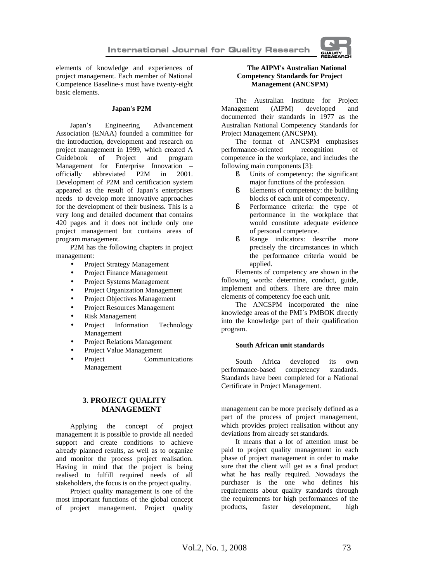

elements of knowledge and experiences of project management. Each member of National Competence Baseline-s must have twenty-eight basic elements.

#### **Japan's P2M**

Japan's Engineering Advancement Association (ENAA) founded a committee for the introduction, development and research on project management in 1999, which created A Guidebook of Project and program Management for Enterprise Innovation – officially abbreviated P2M in 2001. Development of P2M and certification system appeared as the result of Japan's enterprises needs to develop more innovative approaches for the development of their business. This is a very long and detailed document that contains 420 pages and it does not include only one project management but contains areas of program management.

P2M has the following chapters in project management:

- Project Strategy Management
- Project Finance Management
- Project Systems Management
- Project Organization Management
- Project Objectives Management
- Project Resources Management
- Risk Management
- Project Information Technology Management
- Project Relations Management
- Project Value Management
- Project Communications Management

## **3. PROJECT QUALITY MANAGEMENT**

Applying the concept of project management it is possible to provide all needed support and create conditions to achieve already planned results, as well as to organize and monitor the process project realisation. Having in mind that the project is being realised to fulfill required needs of all stakeholders, the focus is on the project quality.

Project quality management is one of the most important functions of the global concept of project management. Project quality

## **The AIPM's Australian National Competency Standards for Project Management (ANCSPM)**

The Australian Institute for Project Management (AIPM) developed and documented their standards in 1977 as the Australian National Competency Standards for Project Management (ANCSPM).

The format of ANCSPM emphasises performance-oriented recognition of competence in the workplace, and includes the following main components [3]:

- § Units of competency: the significant major functions of the profession.
- § Elements of competency: the building blocks of each unit of competency.
- § Performance criteria: the type of performance in the workplace that would constitute adequate evidence of personal competence.
- § Range indicators: describe more precisely the circumstances in which the performance criteria would be applied.

Elements of competency are shown in the following words: determine, conduct, guide, implement and others. There are three main elements of competency foe each unit.

The ANCSPM incorporated the nine knowledge areas of the PMI`s PMBOK directly into the knowledge part of their qualification program.

#### **South African unit standards**

South Africa developed its own performance-based competency standards. Standards have been completed for a National Certificate in Project Management.

management can be more precisely defined as a part of the process of project management, which provides project realisation without any deviations from already set standards.

It means that a lot of attention must be paid to project quality management in each phase of project management in order to make sure that the client will get as a final product what he has really required. Nowadays the purchaser is the one who defines his requirements about quality standards through the requirements for high performances of the products, faster development, high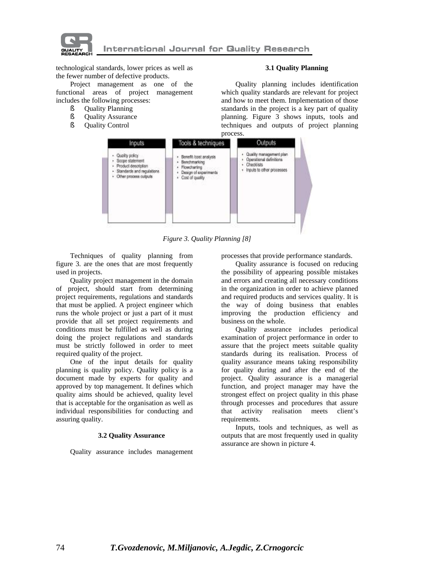

technological standards, lower prices as well as the fewer number of defective products.

Project management as one of the functional areas of project management includes the following processes:

- § Quality Planning
- § Quality Assurance
- § Quality Control

### **3.1 Quality Planning**

Quality planning includes identification which quality standards are relevant for project and how to meet them. Implementation of those standards in the project is a key part of quality planning. Figure 3 shows inputs, tools and techniques and outputs of project planning process.



*Figure 3. Quality Planning [8]* 

Techniques of quality planning from figure 3. are the ones that are most frequently used in projects.

Quality project management in the domain of project, should start from determining project requirements, regulations and standards that must be applied. A project engineer which runs the whole project or just a part of it must provide that all set project requirements and conditions must be fulfilled as well as during doing the project regulations and standards must be strictly followed in order to meet required quality of the project.

One of the input details for quality planning is quality policy. Quality policy is a document made by experts for quality and approved by top management. It defines which quality aims should be achieved, quality level that is acceptable for the organisation as well as individual responsibilities for conducting and assuring quality.

#### **3.2 Quality Assurance**

Quality assurance includes management

processes that provide performance standards.

Quality assurance is focused on reducing the possibility of appearing possible mistakes and errors and creating all necessary conditions in the organization in order to achieve planned and required products and services quality. It is the way of doing business that enables improving the production efficiency and business on the whole.

Quality assurance includes periodical examination of project performance in order to assure that the project meets suitable quality standards during its realisation. Process of quality assurance means taking responsibility for quality during and after the end of the project. Quality assurance is a managerial function, and project manager may have the strongest effect on project quality in this phase through processes and procedures that assure that activity realisation meets client's requirements.

Inputs, tools and techniques, as well as outputs that are most frequently used in quality assurance are shown in picture 4.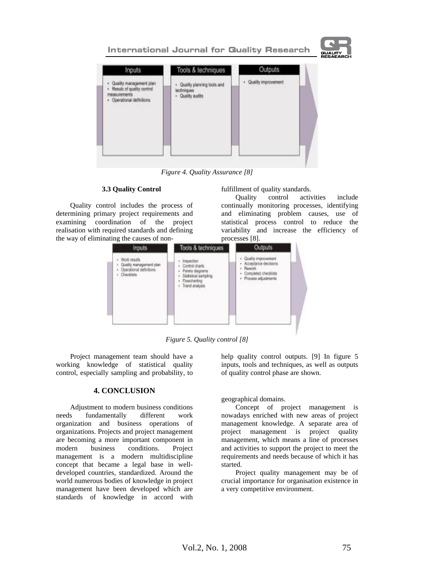

*Figure 4. Quality Assurance [8]* 

#### **3.3 Quality Control**

Quality control includes the process of determining primary project requirements and examining coordination of the project realisation with required standards and defining the way of eliminating the causes of nonfulfillment of quality standards.

Quality control activities include continually monitoring processes, identifying and eliminating problem causes, use of statistical process control to reduce the variability and increase the efficiency of processes [8].



*Figure 5. Quality control [8]* 

Project management team should have a working knowledge of statistical quality control, especially sampling and probability, to

## **4. CONCLUSION**

Adjustment to modern business conditions needs fundamentally different work organization and business operations of organizations. Projects and project management are becoming a more important component in modern business conditions. Project management is a modern multidiscipline concept that became a legal base in welldeveloped countries, standardized. Around the world numerous bodies of knowledge in project management have been developed which are standards of knowledge in accord with help quality control outputs. [9] In figure 5 inputs, tools and techniques, as well as outputs of quality control phase are shown.

geographical domains.

Concept of project management is nowadays enriched with new areas of project management knowledge. A separate area of project management is project quality management, which means a line of processes and activities to support the project to meet the requirements and needs because of which it has started.

Project quality management may be of crucial importance for organisation existence in a very competitive environment.